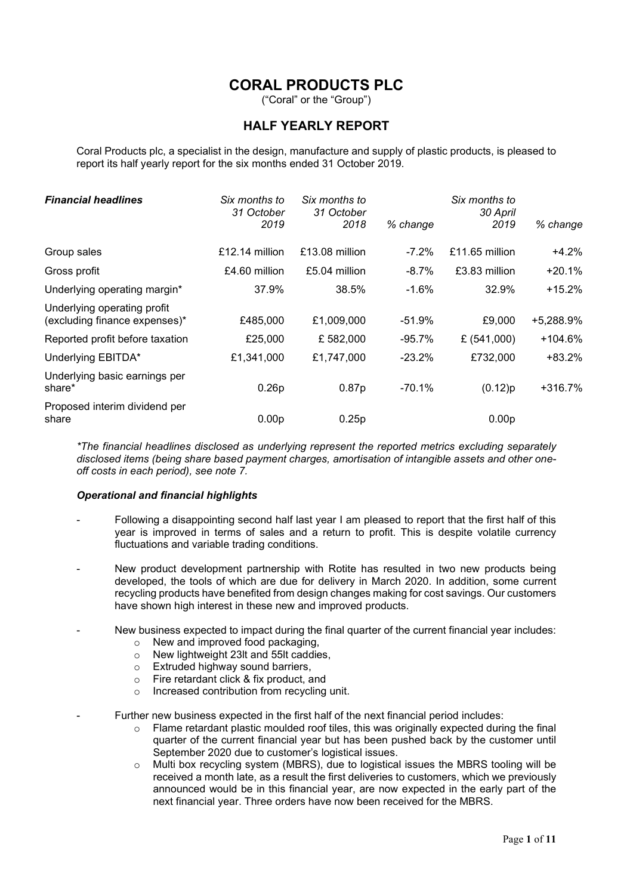# CORAL PRODUCTS PLC

("Coral" or the "Group")

# HALF YEARLY REPORT

Coral Products plc, a specialist in the design, manufacture and supply of plastic products, is pleased to report its half yearly report for the six months ended 31 October 2019.

| <b>Financial headlines</b>                                   | Six months to<br>31 October<br>2019 | Six months to<br>31 October<br>2018 | % change  | Six months to<br>30 April<br>2019 | % change  |
|--------------------------------------------------------------|-------------------------------------|-------------------------------------|-----------|-----------------------------------|-----------|
| Group sales                                                  | £12.14 million                      | $£13.08$ million                    | $-7.2\%$  | £11.65 million                    | $+4.2%$   |
| Gross profit                                                 | £4.60 million                       | £5.04 million                       | $-8.7%$   | £3.83 million                     | $+20.1%$  |
| Underlying operating margin*                                 | 37.9%                               | 38.5%                               | $-1.6%$   | 32.9%                             | $+15.2%$  |
| Underlying operating profit<br>(excluding finance expenses)* | £485,000                            | £1,009,000                          | $-51.9%$  | £9,000                            | +5,288.9% |
| Reported profit before taxation                              | £25,000                             | £582,000                            | $-95.7\%$ | £ $(541,000)$                     | $+104.6%$ |
| Underlying EBITDA*                                           | £1,341,000                          | £1,747,000                          | $-23.2%$  | £732,000                          | +83.2%    |
| Underlying basic earnings per<br>share*                      | 0.26p                               | 0.87 <sub>p</sub>                   | $-70.1%$  | (0.12)p                           | +316.7%   |
| Proposed interim dividend per<br>share                       | 0.00 <sub>p</sub>                   | 0.25p                               |           | 0.00 <sub>p</sub>                 |           |

\*The financial headlines disclosed as underlying represent the reported metrics excluding separately disclosed items (being share based payment charges, amortisation of intangible assets and other oneoff costs in each period), see note 7.

#### Operational and financial highlights

- Following a disappointing second half last year I am pleased to report that the first half of this year is improved in terms of sales and a return to profit. This is despite volatile currency fluctuations and variable trading conditions.
- New product development partnership with Rotite has resulted in two new products being developed, the tools of which are due for delivery in March 2020. In addition, some current recycling products have benefited from design changes making for cost savings. Our customers have shown high interest in these new and improved products.
- New business expected to impact during the final quarter of the current financial year includes:
	- o New and improved food packaging,
	- o New lightweight 23lt and 55lt caddies,
	- o Extruded highway sound barriers,
	- o Fire retardant click & fix product, and
	- o Increased contribution from recycling unit.
- Further new business expected in the first half of the next financial period includes:
	- $\circ$  Flame retardant plastic moulded roof tiles, this was originally expected during the final quarter of the current financial year but has been pushed back by the customer until September 2020 due to customer's logistical issues.
	- $\circ$  Multi box recycling system (MBRS), due to logistical issues the MBRS tooling will be received a month late, as a result the first deliveries to customers, which we previously announced would be in this financial year, are now expected in the early part of the next financial year. Three orders have now been received for the MBRS.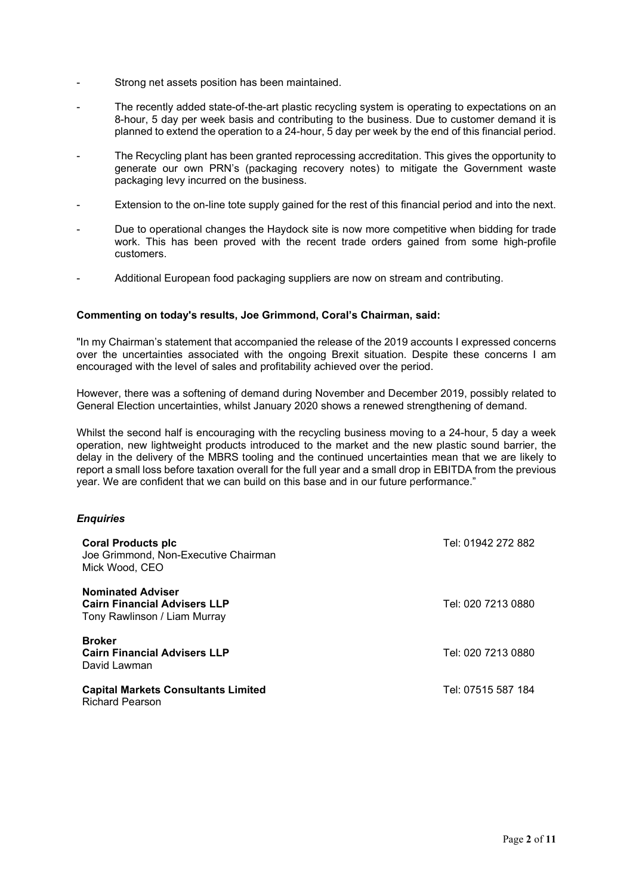- Strong net assets position has been maintained.
- The recently added state-of-the-art plastic recycling system is operating to expectations on an 8-hour, 5 day per week basis and contributing to the business. Due to customer demand it is planned to extend the operation to a 24-hour, 5 day per week by the end of this financial period.
- The Recycling plant has been granted reprocessing accreditation. This gives the opportunity to generate our own PRN's (packaging recovery notes) to mitigate the Government waste packaging levy incurred on the business.
- Extension to the on-line tote supply gained for the rest of this financial period and into the next.
- Due to operational changes the Haydock site is now more competitive when bidding for trade work. This has been proved with the recent trade orders gained from some high-profile customers.
- Additional European food packaging suppliers are now on stream and contributing.

# Commenting on today's results, Joe Grimmond, Coral's Chairman, said:

"In my Chairman's statement that accompanied the release of the 2019 accounts I expressed concerns over the uncertainties associated with the ongoing Brexit situation. Despite these concerns I am encouraged with the level of sales and profitability achieved over the period.

However, there was a softening of demand during November and December 2019, possibly related to General Election uncertainties, whilst January 2020 shows a renewed strengthening of demand.

Whilst the second half is encouraging with the recycling business moving to a 24-hour, 5 day a week operation, new lightweight products introduced to the market and the new plastic sound barrier, the delay in the delivery of the MBRS tooling and the continued uncertainties mean that we are likely to report a small loss before taxation overall for the full year and a small drop in EBITDA from the previous year. We are confident that we can build on this base and in our future performance."

#### **Enquiries**

| <b>Coral Products plc</b><br>Joe Grimmond, Non-Executive Chairman<br>Mick Wood, CEO             | Tel: 01942 272 882 |
|-------------------------------------------------------------------------------------------------|--------------------|
| <b>Nominated Adviser</b><br><b>Cairn Financial Advisers LLP</b><br>Tony Rawlinson / Liam Murray | Tel: 020 7213 0880 |
| <b>Broker</b><br><b>Cairn Financial Advisers LLP</b><br>David Lawman                            | Tel: 020 7213 0880 |
| <b>Capital Markets Consultants Limited</b><br><b>Richard Pearson</b>                            | Tel: 07515 587 184 |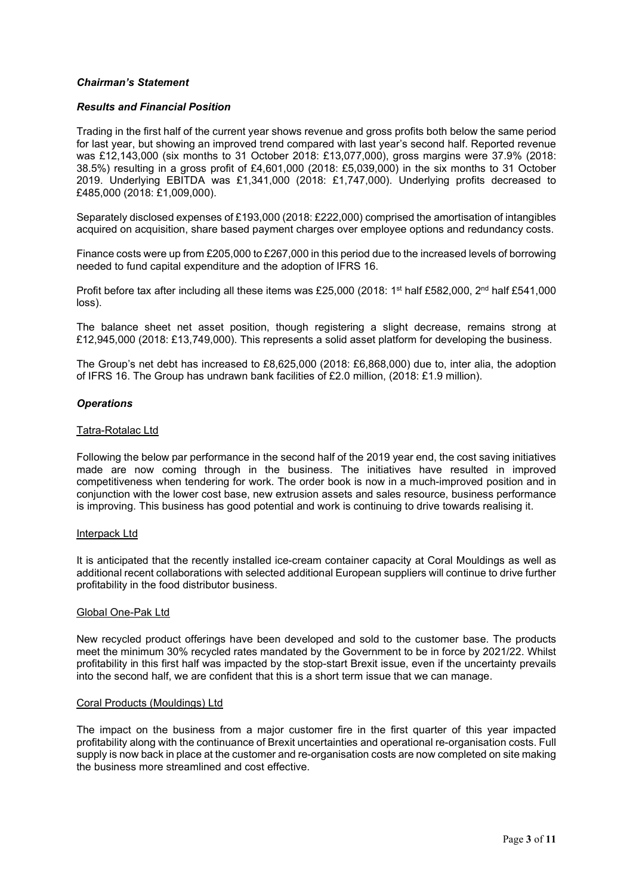# Chairman's Statement

#### Results and Financial Position

Trading in the first half of the current year shows revenue and gross profits both below the same period for last year, but showing an improved trend compared with last year's second half. Reported revenue was £12,143,000 (six months to 31 October 2018: £13,077,000), gross margins were 37.9% (2018: 38.5%) resulting in a gross profit of £4,601,000 (2018: £5,039,000) in the six months to 31 October 2019. Underlying EBITDA was £1,341,000 (2018: £1,747,000). Underlying profits decreased to £485,000 (2018: £1,009,000).

Separately disclosed expenses of £193,000 (2018: £222,000) comprised the amortisation of intangibles acquired on acquisition, share based payment charges over employee options and redundancy costs.

Finance costs were up from £205,000 to £267,000 in this period due to the increased levels of borrowing needed to fund capital expenditure and the adoption of IFRS 16.

Profit before tax after including all these items was £25,000 (2018: 1<sup>st</sup> half £582,000, 2<sup>nd</sup> half £541,000 loss).

The balance sheet net asset position, though registering a slight decrease, remains strong at £12,945,000 (2018: £13,749,000). This represents a solid asset platform for developing the business.

The Group's net debt has increased to £8,625,000 (2018: £6,868,000) due to, inter alia, the adoption of IFRS 16. The Group has undrawn bank facilities of £2.0 million, (2018: £1.9 million).

# **Operations**

#### Tatra-Rotalac Ltd

Following the below par performance in the second half of the 2019 year end, the cost saving initiatives made are now coming through in the business. The initiatives have resulted in improved competitiveness when tendering for work. The order book is now in a much-improved position and in conjunction with the lower cost base, new extrusion assets and sales resource, business performance is improving. This business has good potential and work is continuing to drive towards realising it.

#### Interpack Ltd

It is anticipated that the recently installed ice-cream container capacity at Coral Mouldings as well as additional recent collaborations with selected additional European suppliers will continue to drive further profitability in the food distributor business.

#### Global One-Pak Ltd

New recycled product offerings have been developed and sold to the customer base. The products meet the minimum 30% recycled rates mandated by the Government to be in force by 2021/22. Whilst profitability in this first half was impacted by the stop-start Brexit issue, even if the uncertainty prevails into the second half, we are confident that this is a short term issue that we can manage.

#### Coral Products (Mouldings) Ltd

The impact on the business from a major customer fire in the first quarter of this year impacted profitability along with the continuance of Brexit uncertainties and operational re-organisation costs. Full supply is now back in place at the customer and re-organisation costs are now completed on site making the business more streamlined and cost effective.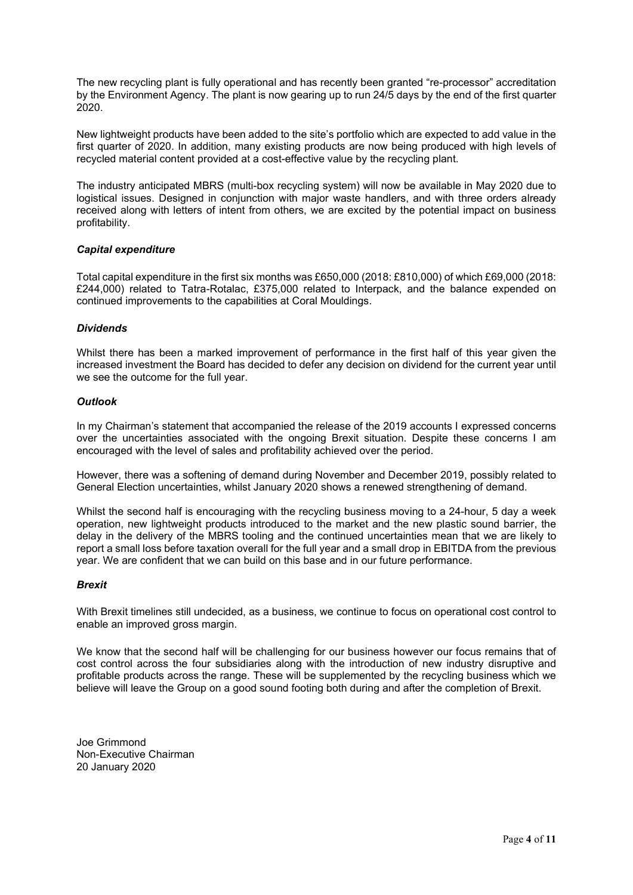The new recycling plant is fully operational and has recently been granted "re-processor" accreditation by the Environment Agency. The plant is now gearing up to run 24/5 days by the end of the first quarter 2020.

New lightweight products have been added to the site's portfolio which are expected to add value in the first quarter of 2020. In addition, many existing products are now being produced with high levels of recycled material content provided at a cost-effective value by the recycling plant.

The industry anticipated MBRS (multi-box recycling system) will now be available in May 2020 due to logistical issues. Designed in conjunction with major waste handlers, and with three orders already received along with letters of intent from others, we are excited by the potential impact on business profitability.

# Capital expenditure

Total capital expenditure in the first six months was £650,000 (2018: £810,000) of which £69,000 (2018: £244,000) related to Tatra-Rotalac, £375,000 related to Interpack, and the balance expended on continued improvements to the capabilities at Coral Mouldings.

# **Dividends**

Whilst there has been a marked improvement of performance in the first half of this year given the increased investment the Board has decided to defer any decision on dividend for the current year until we see the outcome for the full year.

#### **Outlook**

In my Chairman's statement that accompanied the release of the 2019 accounts I expressed concerns over the uncertainties associated with the ongoing Brexit situation. Despite these concerns I am encouraged with the level of sales and profitability achieved over the period.

However, there was a softening of demand during November and December 2019, possibly related to General Election uncertainties, whilst January 2020 shows a renewed strengthening of demand.

Whilst the second half is encouraging with the recycling business moving to a 24-hour, 5 day a week operation, new lightweight products introduced to the market and the new plastic sound barrier, the delay in the delivery of the MBRS tooling and the continued uncertainties mean that we are likely to report a small loss before taxation overall for the full year and a small drop in EBITDA from the previous year. We are confident that we can build on this base and in our future performance.

#### Brexit

With Brexit timelines still undecided, as a business, we continue to focus on operational cost control to enable an improved gross margin.

We know that the second half will be challenging for our business however our focus remains that of cost control across the four subsidiaries along with the introduction of new industry disruptive and profitable products across the range. These will be supplemented by the recycling business which we believe will leave the Group on a good sound footing both during and after the completion of Brexit.

Joe Grimmond Non-Executive Chairman 20 January 2020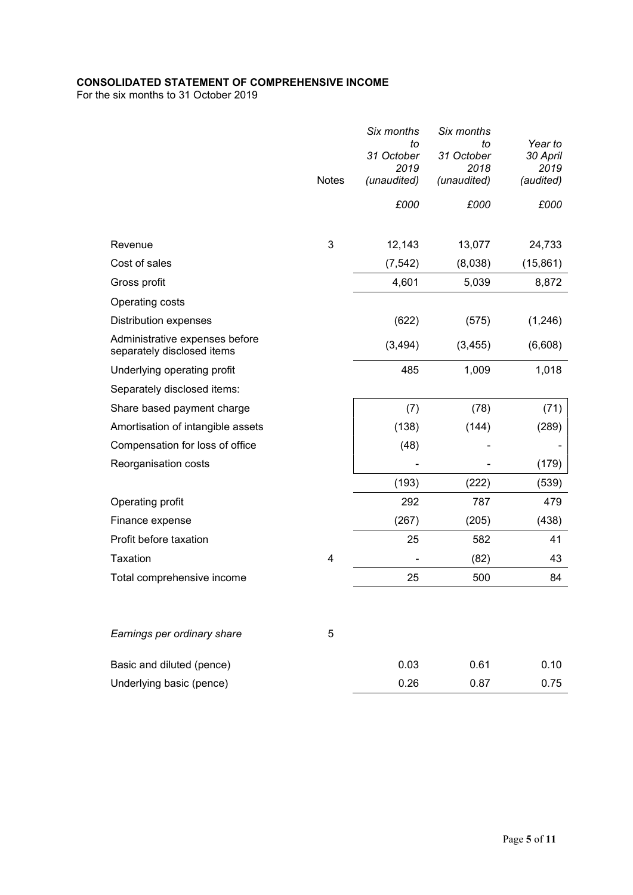# CONSOLIDATED STATEMENT OF COMPREHENSIVE INCOME

For the six months to 31 October 2019

|                                                              | <b>Notes</b> | Six months<br>to<br>31 October<br>2019<br>(unaudited) | Six months<br>to<br>31 October<br>2018<br>(unaudited) | Year to<br>30 April<br>2019<br>(audited) |
|--------------------------------------------------------------|--------------|-------------------------------------------------------|-------------------------------------------------------|------------------------------------------|
|                                                              |              | £000                                                  | £000                                                  | £000                                     |
| Revenue                                                      | 3            | 12,143                                                | 13,077                                                | 24,733                                   |
| Cost of sales                                                |              | (7, 542)                                              |                                                       |                                          |
|                                                              |              |                                                       | (8,038)                                               | (15, 861)                                |
| Gross profit                                                 |              | 4,601                                                 | 5,039                                                 | 8,872                                    |
| Operating costs                                              |              |                                                       |                                                       |                                          |
| <b>Distribution expenses</b>                                 |              | (622)                                                 | (575)                                                 | (1,246)                                  |
| Administrative expenses before<br>separately disclosed items |              | (3, 494)                                              | (3, 455)                                              | (6,608)                                  |
| Underlying operating profit                                  |              | 485                                                   | 1,009                                                 | 1,018                                    |
| Separately disclosed items:                                  |              |                                                       |                                                       |                                          |
| Share based payment charge                                   |              | (7)                                                   | (78)                                                  | (71)                                     |
| Amortisation of intangible assets                            |              | (138)                                                 | (144)                                                 | (289)                                    |
| Compensation for loss of office                              |              | (48)                                                  |                                                       |                                          |
| Reorganisation costs                                         |              |                                                       |                                                       | (179)                                    |
|                                                              |              | (193)                                                 | (222)                                                 | (539)                                    |
| Operating profit                                             |              | 292                                                   | 787                                                   | 479                                      |
| Finance expense                                              |              | (267)                                                 | (205)                                                 | (438)                                    |
| Profit before taxation                                       |              | 25                                                    | 582                                                   | 41                                       |
| Taxation                                                     | 4            |                                                       | (82)                                                  | 43                                       |
| Total comprehensive income                                   |              | 25                                                    | 500                                                   | 84                                       |
|                                                              |              |                                                       |                                                       |                                          |
| Earnings per ordinary share                                  | 5            |                                                       |                                                       |                                          |
| Basic and diluted (pence)                                    |              | 0.03                                                  | 0.61                                                  | 0.10                                     |
| Underlying basic (pence)                                     |              | 0.26                                                  | 0.87                                                  | 0.75                                     |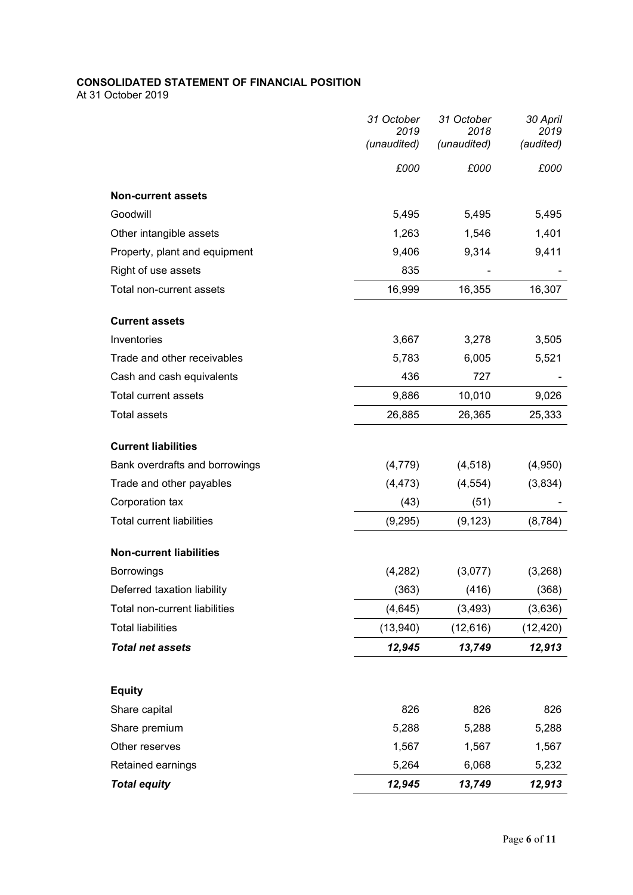# CONSOLIDATED STATEMENT OF FINANCIAL POSITION

At 31 October 2019

|                                  | 31 October<br>2019<br>(unaudited) | 31 October<br>2018<br>(unaudited) | 30 April<br>2019<br>(audited) |
|----------------------------------|-----------------------------------|-----------------------------------|-------------------------------|
|                                  | £000                              | £000                              | £000                          |
| <b>Non-current assets</b>        |                                   |                                   |                               |
| Goodwill                         | 5,495                             | 5,495                             | 5,495                         |
| Other intangible assets          | 1,263                             | 1,546                             | 1,401                         |
| Property, plant and equipment    | 9,406                             | 9,314                             | 9,411                         |
| Right of use assets              | 835                               |                                   |                               |
| Total non-current assets         | 16,999                            | 16,355                            | 16,307                        |
| <b>Current assets</b>            |                                   |                                   |                               |
| Inventories                      | 3,667                             | 3,278                             | 3,505                         |
| Trade and other receivables      | 5,783                             | 6,005                             | 5,521                         |
| Cash and cash equivalents        | 436                               | 727                               |                               |
| <b>Total current assets</b>      | 9,886                             | 10,010                            | 9,026                         |
| <b>Total assets</b>              | 26,885                            | 26,365                            | 25,333                        |
| <b>Current liabilities</b>       |                                   |                                   |                               |
| Bank overdrafts and borrowings   | (4, 779)                          | (4, 518)                          | (4,950)                       |
| Trade and other payables         | (4, 473)                          | (4, 554)                          | (3,834)                       |
| Corporation tax                  | (43)                              | (51)                              |                               |
| <b>Total current liabilities</b> | (9,295)                           | (9, 123)                          | (8, 784)                      |
| <b>Non-current liabilities</b>   |                                   |                                   |                               |
| <b>Borrowings</b>                | (4,282)                           | (3,077)                           | (3,268)                       |
| Deferred taxation liability      | (363)                             | (416)                             | (368)                         |
| Total non-current liabilities    | (4, 645)                          | (3, 493)                          | (3,636)                       |
| <b>Total liabilities</b>         | (13,940)                          | (12, 616)                         | (12, 420)                     |
| <b>Total net assets</b>          | 12,945                            | 13,749                            | 12,913                        |
|                                  |                                   |                                   |                               |
| <b>Equity</b>                    |                                   |                                   |                               |
| Share capital                    | 826                               | 826                               | 826                           |
| Share premium                    | 5,288                             | 5,288                             | 5,288                         |
| Other reserves                   | 1,567                             | 1,567                             | 1,567                         |
| Retained earnings                | 5,264                             | 6,068                             | 5,232                         |
| <b>Total equity</b>              | 12,945                            | 13,749                            | 12,913                        |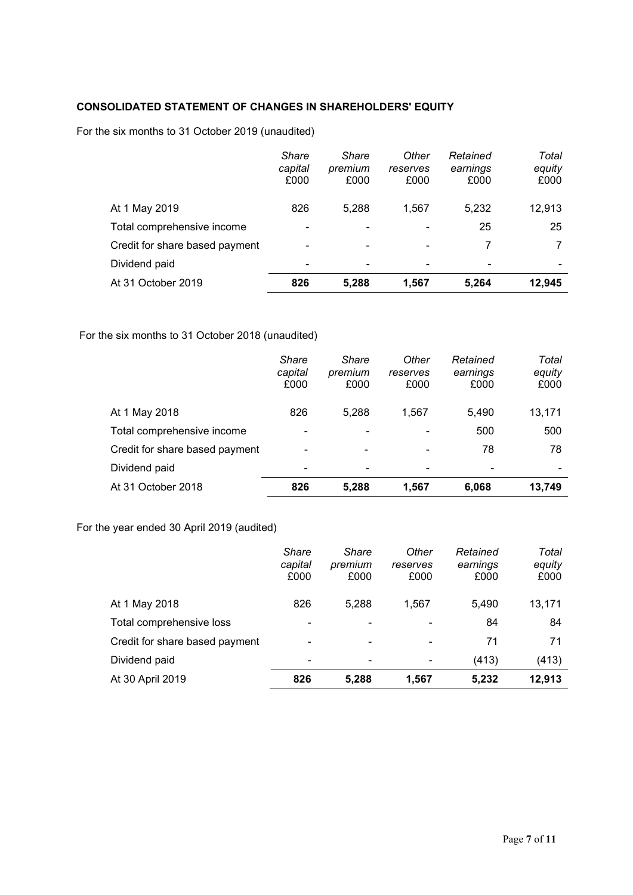# CONSOLIDATED STATEMENT OF CHANGES IN SHAREHOLDERS' EQUITY

For the six months to 31 October 2019 (unaudited)

|                                | Share<br>capital<br>£000 | <b>Share</b><br>premium<br>£000 | Other<br>reserves<br>£000 | Retained<br>earnings<br>£000 | Total<br>equity<br>£000 |
|--------------------------------|--------------------------|---------------------------------|---------------------------|------------------------------|-------------------------|
| At 1 May 2019                  | 826                      | 5,288                           | 1,567                     | 5,232                        | 12,913                  |
| Total comprehensive income     | ٠                        | -                               |                           | 25                           | 25                      |
| Credit for share based payment | $\blacksquare$           | ۰                               |                           |                              |                         |
| Dividend paid                  |                          | ٠                               |                           |                              |                         |
| At 31 October 2019             | 826                      | 5,288                           | 1,567                     | 5,264                        | 12,945                  |

For the six months to 31 October 2018 (unaudited)

|                                | Share<br>capital<br>£000 | Share<br>premium<br>£000 | Other<br>reserves<br>£000 | Retained<br>earnings<br>£000 | Total<br>equity<br>£000 |
|--------------------------------|--------------------------|--------------------------|---------------------------|------------------------------|-------------------------|
| At 1 May 2018                  | 826                      | 5,288                    | 1,567                     | 5.490                        | 13,171                  |
| Total comprehensive income     | -                        | ٠                        |                           | 500                          | 500                     |
| Credit for share based payment | -                        | ۰                        | ۰                         | 78                           | 78                      |
| Dividend paid                  | $\overline{\phantom{a}}$ | ۰                        |                           | -                            |                         |
| At 31 October 2018             | 826                      | 5,288                    | 1,567                     | 6,068                        | 13,749                  |

For the year ended 30 April 2019 (audited)

|                                | Share<br>capital<br>£000 | Share<br>premium<br>£000 | Other<br>reserves<br>£000 | Retained<br>earnings<br>£000 | Total<br>equity<br>£000 |
|--------------------------------|--------------------------|--------------------------|---------------------------|------------------------------|-------------------------|
| At 1 May 2018                  | 826                      | 5,288                    | 1,567                     | 5.490                        | 13,171                  |
| Total comprehensive loss       | $\blacksquare$           | $\blacksquare$           | -                         | 84                           | 84                      |
| Credit for share based payment | $\blacksquare$           | $\blacksquare$           | -                         | 71                           | 71                      |
| Dividend paid                  | ۰                        | ۰                        | -                         | (413)                        | (413)                   |
| At 30 April 2019               | 826                      | 5,288                    | 1,567                     | 5,232                        | 12,913                  |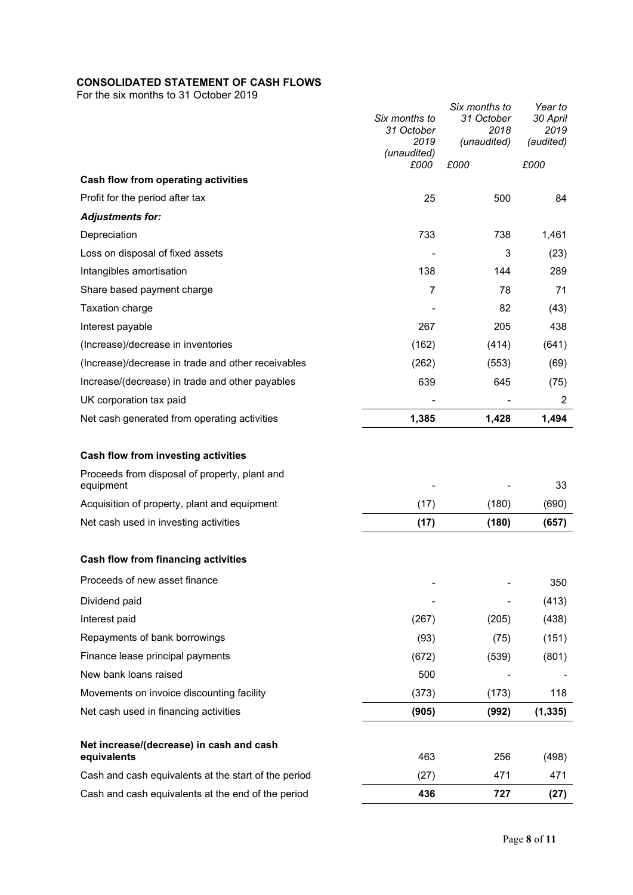# CONSOLIDATED STATEMENT OF CASH FLOWS

For the six months to 31 October 2019

|                                                            | Six months to       | Six months to<br>31 October | Year to<br>30 April |
|------------------------------------------------------------|---------------------|-----------------------------|---------------------|
|                                                            | 31 October<br>2019  | 2018<br>(unaudited)         | 2019<br>(audited)   |
|                                                            | (unaudited)<br>£000 | £000                        | £000                |
| Cash flow from operating activities                        |                     |                             |                     |
| Profit for the period after tax                            | 25                  | 500                         | 84                  |
| <b>Adjustments for:</b>                                    |                     |                             |                     |
| Depreciation                                               | 733                 | 738                         | 1,461               |
| Loss on disposal of fixed assets                           |                     | 3                           | (23)                |
| Intangibles amortisation                                   | 138                 | 144                         | 289                 |
| Share based payment charge                                 | 7                   | 78                          | 71                  |
| <b>Taxation charge</b>                                     |                     | 82                          | (43)                |
| Interest payable                                           | 267                 | 205                         | 438                 |
| (Increase)/decrease in inventories                         | (162)               | (414)                       | (641)               |
| (Increase)/decrease in trade and other receivables         | (262)               | (553)                       | (69)                |
| Increase/(decrease) in trade and other payables            | 639                 | 645                         | (75)                |
| UK corporation tax paid                                    |                     |                             | 2                   |
| Net cash generated from operating activities               | 1,385               | 1,428                       | 1,494               |
|                                                            |                     |                             |                     |
| Cash flow from investing activities                        |                     |                             |                     |
| Proceeds from disposal of property, plant and<br>equipment |                     |                             | 33                  |
| Acquisition of property, plant and equipment               | (17)                | (180)                       | (690)               |
| Net cash used in investing activities                      | (17)                | (180)                       | (657)               |
| Cash flow from financing activities                        |                     |                             |                     |
| Proceeds of new asset finance                              |                     |                             |                     |
| Dividend paid                                              |                     |                             | 350                 |
| Interest paid                                              | (267)               | (205)                       | (413)<br>(438)      |
| Repayments of bank borrowings                              | (93)                | (75)                        | (151)               |
| Finance lease principal payments                           | (672)               | (539)                       | (801)               |
| New bank loans raised                                      | 500                 |                             |                     |
| Movements on invoice discounting facility                  | (373)               | (173)                       | 118                 |
| Net cash used in financing activities                      | (905)               | (992)                       | (1, 335)            |
|                                                            |                     |                             |                     |
| Net increase/(decrease) in cash and cash<br>equivalents    | 463                 | 256                         | (498)               |
| Cash and cash equivalents at the start of the period       | (27)                | 471                         | 471                 |
| Cash and cash equivalents at the end of the period         | 436                 | 727                         | (27)                |
|                                                            |                     |                             |                     |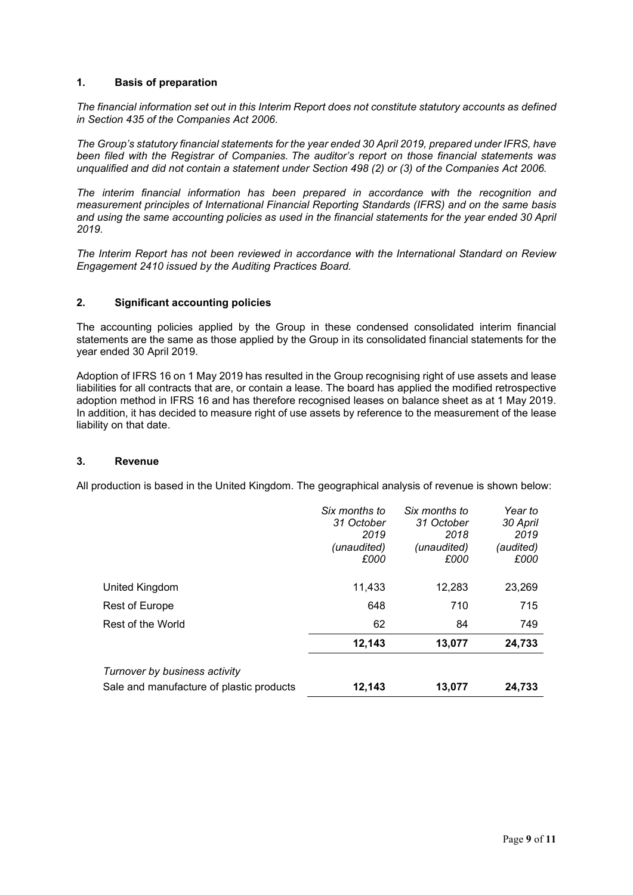# 1. Basis of preparation

The financial information set out in this Interim Report does not constitute statutory accounts as defined in Section 435 of the Companies Act 2006.

The Group's statutory financial statements for the year ended 30 April 2019, prepared under IFRS, have been filed with the Registrar of Companies. The auditor's report on those financial statements was unqualified and did not contain a statement under Section 498 (2) or (3) of the Companies Act 2006.

The interim financial information has been prepared in accordance with the recognition and measurement principles of International Financial Reporting Standards (IFRS) and on the same basis and using the same accounting policies as used in the financial statements for the year ended 30 April 2019.

The Interim Report has not been reviewed in accordance with the International Standard on Review Engagement 2410 issued by the Auditing Practices Board.

# 2. Significant accounting policies

The accounting policies applied by the Group in these condensed consolidated interim financial statements are the same as those applied by the Group in its consolidated financial statements for the year ended 30 April 2019.

Adoption of IFRS 16 on 1 May 2019 has resulted in the Group recognising right of use assets and lease liabilities for all contracts that are, or contain a lease. The board has applied the modified retrospective adoption method in IFRS 16 and has therefore recognised leases on balance sheet as at 1 May 2019. In addition, it has decided to measure right of use assets by reference to the measurement of the lease liability on that date.

#### 3. Revenue

All production is based in the United Kingdom. The geographical analysis of revenue is shown below:

|                                                                           | Six months to<br>31 October<br>2019<br>(unaudited)<br>£000 | Six months to<br>31 October<br>2018<br>(unaudited)<br>£000 | Year to<br>30 April<br>2019<br>(audited)<br>£000 |
|---------------------------------------------------------------------------|------------------------------------------------------------|------------------------------------------------------------|--------------------------------------------------|
| United Kingdom                                                            | 11,433                                                     | 12.283                                                     | 23,269                                           |
| Rest of Europe                                                            | 648                                                        | 710                                                        | 715                                              |
| Rest of the World                                                         | 62                                                         | 84                                                         | 749                                              |
|                                                                           | 12.143                                                     | 13,077                                                     | 24,733                                           |
| Turnover by business activity<br>Sale and manufacture of plastic products | 12,143                                                     | 13,077                                                     | 24,733                                           |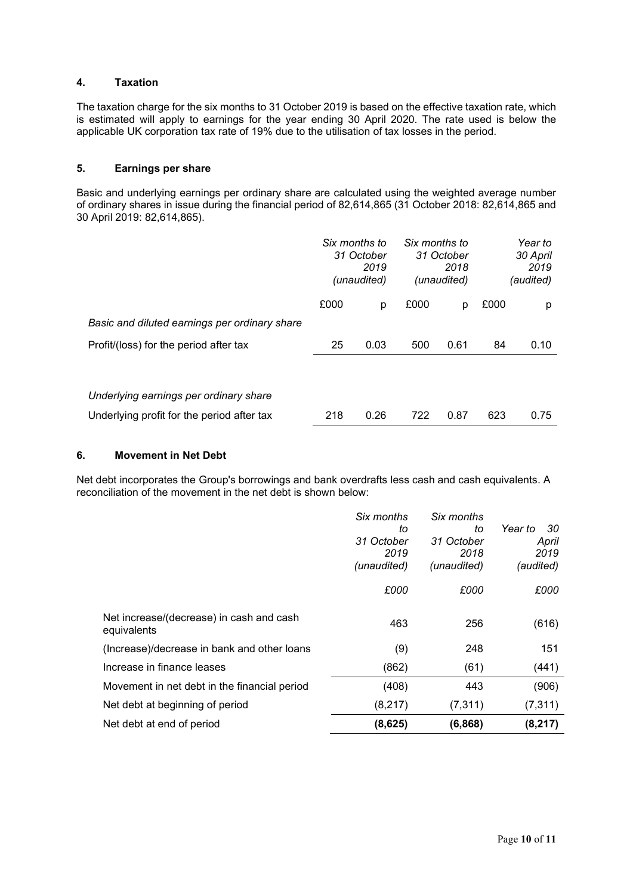# 4. Taxation

The taxation charge for the six months to 31 October 2019 is based on the effective taxation rate, which is estimated will apply to earnings for the year ending 30 April 2020. The rate used is below the applicable UK corporation tax rate of 19% due to the utilisation of tax losses in the period.

# 5. Earnings per share

Basic and underlying earnings per ordinary share are calculated using the weighted average number of ordinary shares in issue during the financial period of 82,614,865 (31 October 2018: 82,614,865 and 30 April 2019: 82,614,865).

|                                               | Six months to<br>31 October<br>2019<br>(unaudited) |      | Six months to<br>31 October<br>2018<br>(unaudited) |      | Year to<br>30 April<br>2019<br>(audited) |      |
|-----------------------------------------------|----------------------------------------------------|------|----------------------------------------------------|------|------------------------------------------|------|
|                                               | £000                                               | р    | £000                                               | р    | £000                                     | p    |
| Basic and diluted earnings per ordinary share |                                                    |      |                                                    |      |                                          |      |
| Profit/(loss) for the period after tax        | 25                                                 | 0.03 | 500                                                | 0.61 | 84                                       | 0.10 |
|                                               |                                                    |      |                                                    |      |                                          |      |
| Underlying earnings per ordinary share        |                                                    |      |                                                    |      |                                          |      |
| Underlying profit for the period after tax    | 218                                                | 0.26 | 722                                                | 0.87 | 623                                      | 0.75 |

#### 6. Movement in Net Debt

Net debt incorporates the Group's borrowings and bank overdrafts less cash and cash equivalents. A reconciliation of the movement in the net debt is shown below:

|                                                         | Six months<br>to<br>31 October<br>2019<br>(unaudited) | Six months<br>to<br>31 October<br>2018<br>(unaudited) | Year to<br>-30<br>April<br>2019<br>(audited) |
|---------------------------------------------------------|-------------------------------------------------------|-------------------------------------------------------|----------------------------------------------|
|                                                         | £000                                                  | £000                                                  | £000                                         |
| Net increase/(decrease) in cash and cash<br>equivalents | 463                                                   | 256                                                   | (616)                                        |
| (Increase)/decrease in bank and other loans             | (9)                                                   | 248                                                   | 151                                          |
| Increase in finance leases                              | (862)                                                 | (61)                                                  | (441)                                        |
| Movement in net debt in the financial period            | (408)                                                 | 443                                                   | (906)                                        |
| Net debt at beginning of period                         | (8,217)                                               | (7, 311)                                              | (7, 311)                                     |
| Net debt at end of period                               | (8,625)                                               | (6,868)                                               | (8, 217)                                     |